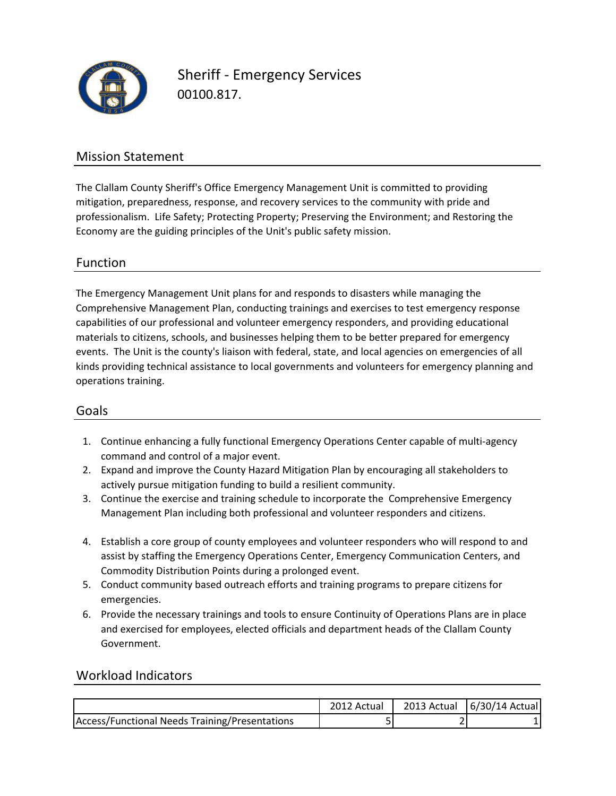

00100.817. Sheriff - Emergency Services

## Mission Statement

The Clallam County Sheriff's Office Emergency Management Unit is committed to providing mitigation, preparedness, response, and recovery services to the community with pride and professionalism. Life Safety; Protecting Property; Preserving the Environment; and Restoring the Economy are the guiding principles of the Unit's public safety mission.

### Function

The Emergency Management Unit plans for and responds to disasters while managing the Comprehensive Management Plan, conducting trainings and exercises to test emergency response capabilities of our professional and volunteer emergency responders, and providing educational materials to citizens, schools, and businesses helping them to be better prepared for emergency events. The Unit is the county's liaison with federal, state, and local agencies on emergencies of all kinds providing technical assistance to local governments and volunteers for emergency planning and operations training.

#### Goals

- 1. Continue enhancing a fully functional Emergency Operations Center capable of multi-agency command and control of a major event.
- 2. Expand and improve the County Hazard Mitigation Plan by encouraging all stakeholders to actively pursue mitigation funding to build a resilient community.
- 3. Continue the exercise and training schedule to incorporate the Comprehensive Emergency Management Plan including both professional and volunteer responders and citizens.
- 4. Establish a core group of county employees and volunteer responders who will respond to and assist by staffing the Emergency Operations Center, Emergency Communication Centers, and Commodity Distribution Points during a prolonged event.
- 5. Conduct community based outreach efforts and training programs to prepare citizens for emergencies.
- 6. Provide the necessary trainings and tools to ensure Continuity of Operations Plans are in place and exercised for employees, elected officials and department heads of the Clallam County Government.

#### Workload Indicators

|                                                | 2012 Actual | 2013 Actual   6/30/14 Actual |
|------------------------------------------------|-------------|------------------------------|
| Access/Functional Needs Training/Presentations |             |                              |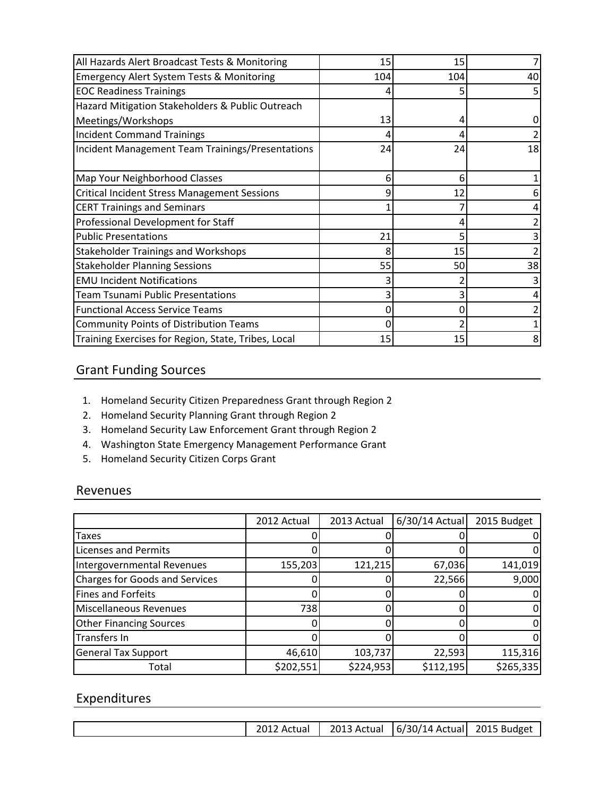| All Hazards Alert Broadcast Tests & Monitoring       | 15  | 15  |    |
|------------------------------------------------------|-----|-----|----|
| <b>Emergency Alert System Tests &amp; Monitoring</b> | 104 | 104 | 40 |
| <b>EOC Readiness Trainings</b>                       |     |     |    |
| Hazard Mitigation Stakeholders & Public Outreach     |     |     |    |
| Meetings/Workshops                                   | 13  |     |    |
| <b>Incident Command Trainings</b>                    |     |     |    |
| Incident Management Team Trainings/Presentations     | 24  | 24  | 18 |
| Map Your Neighborhood Classes                        | 6   | 6   |    |
| <b>Critical Incident Stress Management Sessions</b>  | 9   | 12  |    |
| <b>CERT Trainings and Seminars</b>                   |     |     |    |
| Professional Development for Staff                   |     |     |    |
| <b>Public Presentations</b>                          | 21  |     |    |
| <b>Stakeholder Trainings and Workshops</b>           | 8   | 15  |    |
| <b>Stakeholder Planning Sessions</b>                 | 55  | 50  | 38 |
| <b>EMU Incident Notifications</b>                    |     |     |    |
| <b>Team Tsunami Public Presentations</b>             |     |     |    |
| <b>Functional Access Service Teams</b>               |     |     |    |
| <b>Community Points of Distribution Teams</b>        | 0   |     |    |
| Training Exercises for Region, State, Tribes, Local  | 15  | 15  |    |

## Grant Funding Sources

- 1. Homeland Security Citizen Preparedness Grant through Region 2
- 2. Homeland Security Planning Grant through Region 2
- 3. Homeland Security Law Enforcement Grant through Region 2
- 4. Washington State Emergency Management Performance Grant
- 5. Homeland Security Citizen Corps Grant

## Revenues

|                                       | 2012 Actual | 2013 Actual | $6/30/14$ Actual | 2015 Budget |
|---------------------------------------|-------------|-------------|------------------|-------------|
| <b>Taxes</b>                          |             |             |                  |             |
| <b>Licenses and Permits</b>           |             |             |                  |             |
| Intergovernmental Revenues            | 155,203     | 121,215     | 67,036           | 141,019     |
| <b>Charges for Goods and Services</b> |             |             | 22,566           | 9,000       |
| <b>Fines and Forfeits</b>             |             |             |                  |             |
| Miscellaneous Revenues                | 738         |             |                  |             |
| <b>Other Financing Sources</b>        | O           |             |                  |             |
| Transfers In                          |             |             |                  |             |
| <b>General Tax Support</b>            | 46,610      | 103,737     | 22,593           | 115,316     |
| Total                                 | \$202,551   | \$224,953   | \$112,195        | \$265,335   |

## Expenditures

|  |  | Actual | 2013 Actual | 6/30/14 Actual | 2015 Budget |
|--|--|--------|-------------|----------------|-------------|
|--|--|--------|-------------|----------------|-------------|